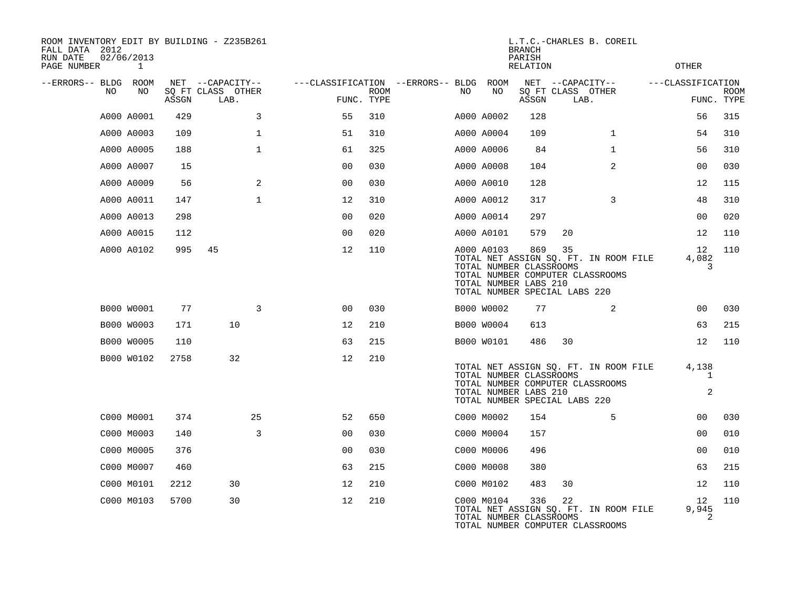| ROOM INVENTORY EDIT BY BUILDING - Z235B261<br>FALL DATA 2012<br>RUN DATE | 02/06/2013 |       |                           |                |                    |                                        |                                                                                                 | <b>BRANCH</b><br>PARISH |      | L.T.C.-CHARLES B. COREIL                                                  |                               |                           |
|--------------------------------------------------------------------------|------------|-------|---------------------------|----------------|--------------------|----------------------------------------|-------------------------------------------------------------------------------------------------|-------------------------|------|---------------------------------------------------------------------------|-------------------------------|---------------------------|
| PAGE NUMBER                                                              | 1          |       |                           |                |                    |                                        |                                                                                                 | <b>RELATION</b>         |      |                                                                           | <b>OTHER</b>                  |                           |
| --ERRORS-- BLDG ROOM                                                     |            |       | NET --CAPACITY--          |                |                    | ---CLASSIFICATION --ERRORS-- BLDG ROOM |                                                                                                 |                         |      | NET --CAPACITY--                                                          | ---CLASSIFICATION             |                           |
| NO                                                                       | NO         | ASSGN | SQ FT CLASS OTHER<br>LAB. |                | ROOM<br>FUNC. TYPE | NO.                                    | NO                                                                                              | ASSGN                   | LAB. | SQ FT CLASS OTHER                                                         |                               | <b>ROOM</b><br>FUNC. TYPE |
|                                                                          | A000 A0001 | 429   | 3                         | 55             | 310                |                                        | A000 A0002                                                                                      | 128                     |      |                                                                           | 56                            | 315                       |
|                                                                          | A000 A0003 | 109   | $\mathbf{1}$              | 51             | 310                |                                        | A000 A0004                                                                                      | 109                     |      | $\mathbf{1}$                                                              | 54                            | 310                       |
|                                                                          | A000 A0005 | 188   | $\mathbf 1$               | 61             | 325                |                                        | A000 A0006                                                                                      | 84                      |      | $\mathbf{1}$                                                              | 56                            | 310                       |
|                                                                          | A000 A0007 | 15    |                           | 0 <sub>0</sub> | 030                |                                        | A000 A0008                                                                                      | 104                     |      | $\overline{2}$                                                            | 0 <sub>0</sub>                | 030                       |
|                                                                          | A000 A0009 | 56    | 2                         | 0 <sub>0</sub> | 030                |                                        | A000 A0010                                                                                      | 128                     |      |                                                                           | 12                            | 115                       |
|                                                                          | A000 A0011 | 147   | $\mathbf{1}$              | 12             | 310                |                                        | A000 A0012                                                                                      | 317                     |      | $\mathbf{3}$                                                              | 48                            | 310                       |
|                                                                          | A000 A0013 | 298   |                           | 0 <sub>0</sub> | 020                |                                        | A000 A0014                                                                                      | 297                     |      |                                                                           | 0 <sub>0</sub>                | 020                       |
|                                                                          | A000 A0015 | 112   |                           | 0 <sub>0</sub> | 020                |                                        | A000 A0101                                                                                      | 579                     | 20   |                                                                           | 12                            | 110                       |
|                                                                          | A000 A0102 | 995   | 45                        | 12             | 110                |                                        | A000 A0103<br>TOTAL NUMBER CLASSROOMS<br>TOTAL NUMBER LABS 210<br>TOTAL NUMBER SPECIAL LABS 220 | 869                     | 35   | TOTAL NET ASSIGN SQ. FT. IN ROOM FILE<br>TOTAL NUMBER COMPUTER CLASSROOMS | 12<br>4,082<br>3              | 110                       |
|                                                                          | B000 W0001 | 77    | 3                         | 0 <sub>0</sub> | 030                |                                        | B000 W0002                                                                                      | 77                      |      | 2                                                                         | 00                            | 030                       |
|                                                                          | B000 W0003 | 171   | 10                        | 12             | 210                |                                        | B000 W0004                                                                                      | 613                     |      |                                                                           | 63                            | 215                       |
|                                                                          | B000 W0005 | 110   |                           | 63             | 215                |                                        | B000 W0101                                                                                      | 486                     | 30   |                                                                           | 12                            | 110                       |
|                                                                          | B000 W0102 | 2758  | 32                        | 12             | 210                |                                        | TOTAL NUMBER CLASSROOMS<br>TOTAL NUMBER LABS 210<br>TOTAL NUMBER SPECIAL LABS 220               |                         |      | TOTAL NET ASSIGN SQ. FT. IN ROOM FILE<br>TOTAL NUMBER COMPUTER CLASSROOMS | 4,138<br>1<br>2               |                           |
|                                                                          | C000 M0001 | 374   | 25                        | 52             | 650                |                                        | C000 M0002                                                                                      | 154                     |      | 5                                                                         | 0 <sub>0</sub>                | 030                       |
|                                                                          | C000 M0003 | 140   | 3                         | 0 <sub>0</sub> | 030                |                                        | C000 M0004                                                                                      | 157                     |      |                                                                           | 00                            | 010                       |
|                                                                          | C000 M0005 | 376   |                           | 0 <sub>0</sub> | 030                |                                        | C000 M0006                                                                                      | 496                     |      |                                                                           | 0 <sub>0</sub>                | 010                       |
|                                                                          | C000 M0007 | 460   |                           | 63             | 215                |                                        | C000 M0008                                                                                      | 380                     |      |                                                                           | 63                            | 215                       |
|                                                                          | C000 M0101 | 2212  | 30                        | 12             | 210                |                                        | C000 M0102                                                                                      | 483                     | 30   |                                                                           | 12                            | 110                       |
|                                                                          | C000 M0103 | 5700  | 30                        | 12             | 210                |                                        | C000 M0104<br>TOTAL NUMBER CLASSROOMS                                                           | 336                     | 22   | TOTAL NET ASSIGN SQ. FT. IN ROOM FILE<br>TOTAL NUMBER COMPUTER CLASSROOMS | 12 <sup>°</sup><br>9,945<br>2 | 110                       |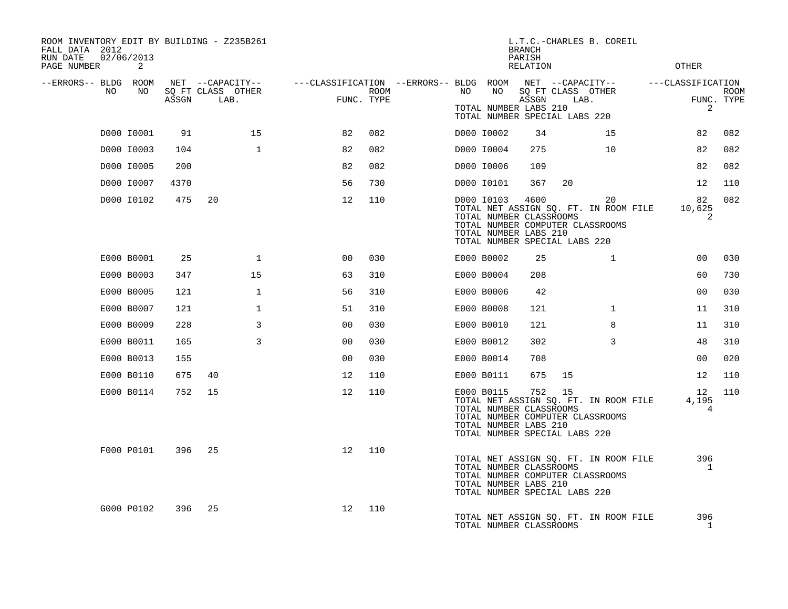| ROOM INVENTORY EDIT BY BUILDING - Z235B261<br>FALL DATA 2012<br>RUN DATE<br>PAGE NUMBER | 02/06/2013<br>2          |             |                                               |                                                         |                    |      |                                                                              | <b>BRANCH</b><br>PARISH<br>RELATION | L.T.C.-CHARLES B. COREIL                                                                                               |              | <b>OTHER</b>                  |                           |
|-----------------------------------------------------------------------------------------|--------------------------|-------------|-----------------------------------------------|---------------------------------------------------------|--------------------|------|------------------------------------------------------------------------------|-------------------------------------|------------------------------------------------------------------------------------------------------------------------|--------------|-------------------------------|---------------------------|
| --ERRORS-- BLDG ROOM<br>NO                                                              | NO                       | ASSGN       | NET --CAPACITY--<br>SQ FT CLASS OTHER<br>LAB. | ---CLASSIFICATION --ERRORS-- BLDG ROOM NET --CAPACITY-- | ROOM<br>FUNC. TYPE | NO . | NO<br>TOTAL NUMBER LABS 210                                                  | ASSGN                               | SQ FT CLASS OTHER<br>LAB.                                                                                              |              | ---CLASSIFICATION<br>2        | <b>ROOM</b><br>FUNC. TYPE |
|                                                                                         | D000 I0001               |             | 15                                            | 82                                                      | 082                |      | D000 I0002                                                                   | 34                                  | TOTAL NUMBER SPECIAL LABS 220<br>15                                                                                    |              | 82                            | 082                       |
|                                                                                         |                          | 91<br>104   | $\mathbf{1}$                                  | 82                                                      | 082                |      |                                                                              | 275                                 | 10                                                                                                                     |              | 82                            | 082                       |
|                                                                                         | D000 I0003               |             |                                               |                                                         |                    |      | D000 I0004                                                                   |                                     |                                                                                                                        |              |                               |                           |
|                                                                                         | D000 I0005               | 200         |                                               | 82                                                      | 082                |      | D000 I0006                                                                   | 109                                 |                                                                                                                        |              | 82                            | 082                       |
|                                                                                         | D000 I0007<br>D000 10102 | 4370<br>475 | 20                                            | 56<br>12                                                | 730<br>110         |      | D000 I0101<br>D000 10103<br>TOTAL NUMBER CLASSROOMS<br>TOTAL NUMBER LABS 210 | 367<br>4600                         | 20<br>20<br>TOTAL NET ASSIGN SQ. FT. IN ROOM FILE<br>TOTAL NUMBER COMPUTER CLASSROOMS<br>TOTAL NUMBER SPECIAL LABS 220 |              | 12<br>82<br>10,625<br>2       | 110<br>082                |
|                                                                                         | E000 B0001               | 25          | 1                                             | 00                                                      | 030                |      | E000 B0002                                                                   | 25                                  |                                                                                                                        | $\mathbf{1}$ | 0 <sub>0</sub>                | 030                       |
|                                                                                         | E000 B0003               | 347         | 15                                            | 63                                                      | 310                |      | E000 B0004                                                                   | 208                                 |                                                                                                                        |              | 60                            | 730                       |
|                                                                                         | E000 B0005               | 121         | $\mathbf{1}$                                  | 56                                                      | 310                |      | E000 B0006                                                                   | 42                                  |                                                                                                                        |              | 0 <sub>0</sub>                | 030                       |
|                                                                                         | E000 B0007               | 121         | $\mathbf{1}$                                  | 51                                                      | 310                |      | E000 B0008                                                                   | 121                                 |                                                                                                                        | $\mathbf{1}$ | 11                            | 310                       |
|                                                                                         | E000 B0009               | 228         | 3                                             | 0 <sub>0</sub>                                          | 030                |      | E000 B0010                                                                   | 121                                 |                                                                                                                        | 8            | 11                            | 310                       |
|                                                                                         | E000 B0011               | 165         | $\overline{3}$                                | 00                                                      | 030                |      | E000 B0012                                                                   | 302                                 |                                                                                                                        | 3            | 48                            | 310                       |
|                                                                                         | E000 B0013               | 155         |                                               | 0 <sub>0</sub>                                          | 030                |      | E000 B0014                                                                   | 708                                 |                                                                                                                        |              | 0 <sub>0</sub>                | 020                       |
|                                                                                         | E000 B0110               | 675         | 40                                            | 12                                                      | 110                |      | E000 B0111                                                                   | 675                                 | 15                                                                                                                     |              | 12                            | 110                       |
|                                                                                         | E000 B0114               | 752         | 15                                            | 12                                                      | 110                |      | E000 B0115<br>TOTAL NUMBER CLASSROOMS<br>TOTAL NUMBER LABS 210               |                                     | 752 15<br>TOTAL NET ASSIGN SO. FT. IN ROOM FILE<br>TOTAL NUMBER COMPUTER CLASSROOMS<br>TOTAL NUMBER SPECIAL LABS 220   |              | 12 <sup>°</sup><br>4,195<br>4 | 110                       |
|                                                                                         | F000 P0101               | 396         | -25                                           | 12                                                      | 110                |      | TOTAL NUMBER CLASSROOMS<br>TOTAL NUMBER LABS 210                             |                                     | TOTAL NET ASSIGN SQ. FT. IN ROOM FILE<br>TOTAL NUMBER COMPUTER CLASSROOMS<br>TOTAL NUMBER SPECIAL LABS 220             |              | 396<br>$\mathbf{1}$           |                           |
|                                                                                         | G000 P0102               | 396         | 25                                            | 12                                                      | 110                |      | TOTAL NUMBER CLASSROOMS                                                      |                                     | TOTAL NET ASSIGN SQ. FT. IN ROOM FILE                                                                                  |              | 396<br>$\mathbf{1}$           |                           |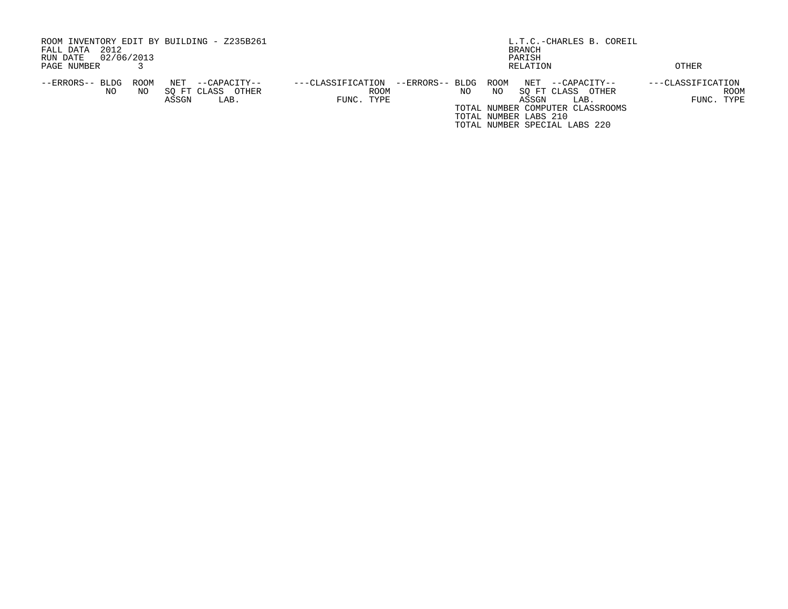| ROOM INVENTORY EDIT BY BUILDING - Z235B261<br>2012<br>FALL DATA<br>02/06/2013<br>RUN DATE            | L.T.C.-CHARLES B. COREIL<br>BRANCH<br>PARISH                                                                                                                                                                                                      |                                         |  |  |  |  |  |  |
|------------------------------------------------------------------------------------------------------|---------------------------------------------------------------------------------------------------------------------------------------------------------------------------------------------------------------------------------------------------|-----------------------------------------|--|--|--|--|--|--|
| PAGE NUMBER                                                                                          | RELATION                                                                                                                                                                                                                                          | OTHER                                   |  |  |  |  |  |  |
| ROOM<br>NET<br>--ERRORS-- BLDG<br>--CAPACITY--<br>SO FT CLASS<br>NO<br>OTHER<br>NO.<br>ASSGN<br>LAB. | --ERRORS-- BLDG ROOM<br>NET<br>---CLASSIFICATION<br>--CAPACITY--<br>SO FT CLASS<br>NO.<br>NO<br>OTHER<br><b>ROOM</b><br>FUNC. TYPE<br>ASSGN<br>LAB.<br>TOTAL NUMBER COMPUTER CLASSROOMS<br>TOTAL NUMBER LABS 210<br>TOTAL NUMBER SPECIAL LABS 220 | ---CLASSIFICATION<br>ROOM<br>FUNC. TYPE |  |  |  |  |  |  |